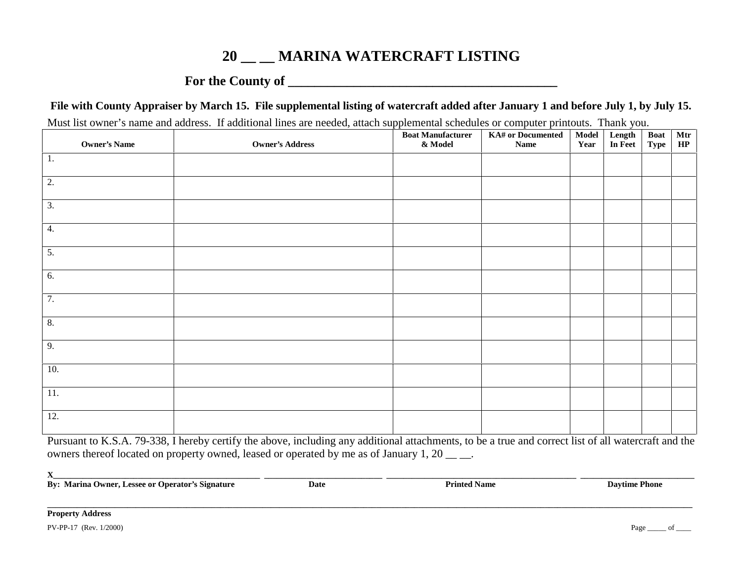## **20 \_\_ \_\_ MARINA WATERCRAFT LISTING**

## **For the County of \_\_\_\_\_\_\_\_\_\_\_\_\_\_\_\_\_\_\_\_\_\_\_\_\_\_\_\_\_\_\_\_\_\_\_\_\_\_\_\_\_**

**File with County Appraiser by March 15. File supplemental listing of watercraft added after January 1 and before July 1, by July 15.**

Must list owner's name and address. If additional lines are needed, attach supplemental schedules or computer printouts. Thank you.

|                     |                        | <b>Boat Manufacturer</b> | KA# or Documented | Model | Length<br>In Feet | <b>Boat</b> | Mtr |
|---------------------|------------------------|--------------------------|-------------------|-------|-------------------|-------------|-----|
| <b>Owner's Name</b> | <b>Owner's Address</b> | & Model                  | <b>Name</b>       | Year  |                   | Type        | HP  |
| 1.                  |                        |                          |                   |       |                   |             |     |
|                     |                        |                          |                   |       |                   |             |     |
| $\overline{2}$ .    |                        |                          |                   |       |                   |             |     |
|                     |                        |                          |                   |       |                   |             |     |
| $\overline{3}$ .    |                        |                          |                   |       |                   |             |     |
|                     |                        |                          |                   |       |                   |             |     |
| 4.                  |                        |                          |                   |       |                   |             |     |
|                     |                        |                          |                   |       |                   |             |     |
| $\overline{5}$ .    |                        |                          |                   |       |                   |             |     |
|                     |                        |                          |                   |       |                   |             |     |
| $\overline{6}$ .    |                        |                          |                   |       |                   |             |     |
|                     |                        |                          |                   |       |                   |             |     |
| 7.                  |                        |                          |                   |       |                   |             |     |
|                     |                        |                          |                   |       |                   |             |     |
| 8.                  |                        |                          |                   |       |                   |             |     |
|                     |                        |                          |                   |       |                   |             |     |
| 9.                  |                        |                          |                   |       |                   |             |     |
|                     |                        |                          |                   |       |                   |             |     |
| 10.                 |                        |                          |                   |       |                   |             |     |
|                     |                        |                          |                   |       |                   |             |     |
| $11. \,$            |                        |                          |                   |       |                   |             |     |
|                     |                        |                          |                   |       |                   |             |     |
| 12.                 |                        |                          |                   |       |                   |             |     |
|                     |                        |                          |                   |       |                   |             |     |

Pursuant to K.S.A. 79-338, I hereby certify the above, including any additional attachments, to be a true and correct list of all watercraft and the owners thereof located on property owned, leased or operated by me as of January 1, 20  $\_\_$ .

| By: Marina Owner, Lessee or Operator's Signature | Date | <b>Printed Name</b> | <b>Daytime Phone</b> |  |  |
|--------------------------------------------------|------|---------------------|----------------------|--|--|
| <b>Property Address</b>                          |      |                     |                      |  |  |